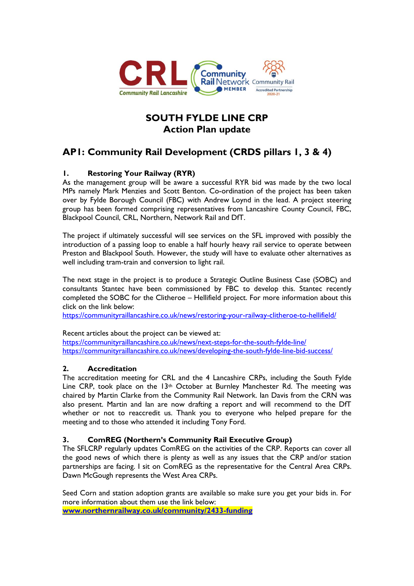

# **SOUTH FYLDE LINE CRP Action Plan update**

# **AP1: Community Rail Development (CRDS pillars 1, 3 & 4)**

## **1. Restoring Your Railway (RYR)**

As the management group will be aware a successful RYR bid was made by the two local MPs namely Mark Menzies and Scott Benton. Co-ordination of the project has been taken over by Fylde Borough Council (FBC) with Andrew Loynd in the lead. A project steering group has been formed comprising representatives from Lancashire County Council, FBC, Blackpool Council, CRL, Northern, Network Rail and DfT.

The project if ultimately successful will see services on the SFL improved with possibly the introduction of a passing loop to enable a half hourly heavy rail service to operate between Preston and Blackpool South. However, the study will have to evaluate other alternatives as well including tram-train and conversion to light rail.

The next stage in the project is to produce a Strategic Outline Business Case (SOBC) and consultants Stantec have been commissioned by FBC to develop this. Stantec recently completed the SOBC for the Clitheroe – Hellifield project. For more information about this click on the link below:

<https://communityraillancashire.co.uk/news/restoring-your-railway-clitheroe-to-hellifield/>

Recent articles about the project can be viewed at:

<https://communityraillancashire.co.uk/news/next-steps-for-the-south-fylde-line/> <https://communityraillancashire.co.uk/news/developing-the-south-fylde-line-bid-success/>

## **2. Accreditation**

The accreditation meeting for CRL and the 4 Lancashire CRPs, including the South Fylde Line CRP, took place on the  $13<sup>th</sup>$  October at Burnley Manchester Rd. The meeting was chaired by Martin Clarke from the Community Rail Network. Ian Davis from the CRN was also present. Martin and Ian are now drafting a report and will recommend to the DfT whether or not to reaccredit us. Thank you to everyone who helped prepare for the meeting and to those who attended it including Tony Ford.

#### **3. ComREG (Northern's Community Rail Executive Group)**

The SFLCRP regularly updates ComREG on the activities of the CRP. Reports can cover all the good news of which there is plenty as well as any issues that the CRP and/or station partnerships are facing. I sit on ComREG as the representative for the Central Area CRPs. Dawn McGough represents the West Area CRPs.

Seed Corn and station adoption grants are available so make sure you get your bids in. For more information about them use the link below: **[www.northernrailway.co.uk/community/2433-funding](http://www.northernrailway.co.uk/community/2433-funding)**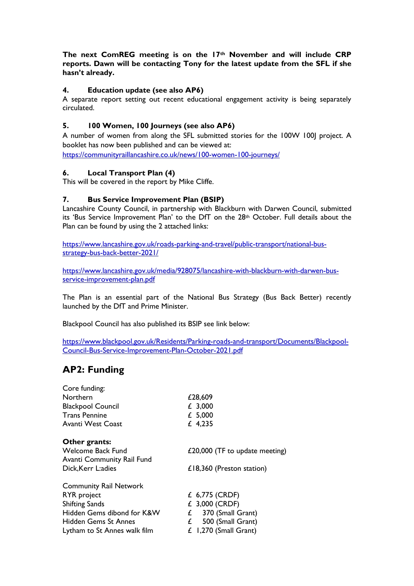**The next ComREG meeting is on the 17th November and will include CRP reports. Dawn will be contacting Tony for the latest update from the SFL if she hasn't already.**

### **4. Education update (see also AP6)**

A separate report setting out recent educational engagement activity is being separately circulated.

#### **5. 100 Women, 100 Journeys (see also AP6)**

A number of women from along the SFL submitted stories for the 100W 100J project. A booklet has now been published and can be viewed at:

<https://communityraillancashire.co.uk/news/100-women-100-journeys/>

#### **6. Local Transport Plan (4)**

This will be covered in the report by Mike Cliffe.

#### **7. Bus Service Improvement Plan (BSIP)**

Lancashire County Council, in partnership with Blackburn with Darwen Council, submitted its 'Bus Service Improvement Plan' to the DfT on the  $28<sup>th</sup>$  October. Full details about the Plan can be found by using the 2 attached links:

[https://www.lancashire.gov.uk/roads-parking-and-travel/public-transport/national-bus](https://www.lancashire.gov.uk/roads-parking-and-travel/public-transport/national-bus-strategy-bus-back-better-2021/)[strategy-bus-back-better-2021/](https://www.lancashire.gov.uk/roads-parking-and-travel/public-transport/national-bus-strategy-bus-back-better-2021/)

[https://www.lancashire.gov.uk/media/928075/lancashire-with-blackburn-with-darwen-bus](https://www.lancashire.gov.uk/media/928075/lancashire-with-blackburn-with-darwen-bus-service-improvement-plan.pdf)[service-improvement-plan.pdf](https://www.lancashire.gov.uk/media/928075/lancashire-with-blackburn-with-darwen-bus-service-improvement-plan.pdf)

The Plan is an essential part of the National Bus Strategy (Bus Back Better) recently launched by the DfT and Prime Minister.

Blackpool Council has also published its BSIP see link below:

[https://www.blackpool.gov.uk/Residents/Parking-roads-and-transport/Documents/Blackpool-](https://www.blackpool.gov.uk/Residents/Parking-roads-and-transport/Documents/Blackpool-Council-Bus-Service-Improvement-Plan-October-2021.pdf)[Council-Bus-Service-Improvement-Plan-October-2021.pdf](https://www.blackpool.gov.uk/Residents/Parking-roads-and-transport/Documents/Blackpool-Council-Bus-Service-Improvement-Plan-October-2021.pdf)

# **AP2: Funding**

| £28,609                        |
|--------------------------------|
| £ 3,000                        |
| £ 5,000                        |
| £ $4,235$                      |
|                                |
| £20,000 (TF to update meeting) |
|                                |
| £18,360 (Preston station)      |
|                                |
| £ 6,775 (CRDF)                 |
| £ 3,000 (CRDF)                 |
| $£$ 370 (Small Grant)          |
| 500 (Small Grant)<br>£         |
| $£$ 1,270 (Small Grant)        |
|                                |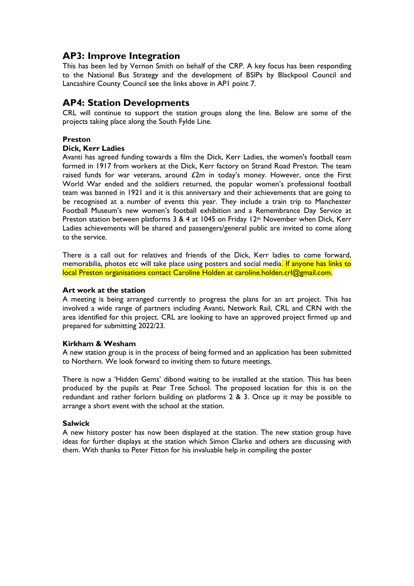# **AP3: Improve Integration**

This has been led by Vernon Smith on behalf of the CRP. A key focus has been responding to the National Bus Strategy and the development of BSIPs by Blackpool Council and Lancashire County Council see the links above in AP1 point 7.

# **AP4: Station Developments**

CRL will continue to support the station groups along the line. Below are some of the projects taking place along the South Fylde Line.

#### **Preston**

#### **Dick, Kerr Ladies**

Avanti has agreed funding towards a film the Dick, Kerr Ladies, the women's football team formed in 1917 from workers at the Dick, Kerr factory on Strand Road Preston. The team raised funds for war veterans, around £2m in today's money. However, once the First World War ended and the soldiers returned, the popular women's professional football team was banned in 1921 and it is this anniversary and their achievements that are going to be recognised at a number of events this year. They include a train trip to Manchester Football Museum's new women's football exhibition and a Remembrance Day Service at Preston station between platforms 3 & 4 at 1045 on Friday 12<sup>th</sup> November when Dick, Kerr Ladies achievements will be shared and passengers/general public are invited to come along to the service.

There is a call out for relatives and friends of the Dick, Kerr ladies to come forward, memorabilia, photos etc will take place using posters and social media. If anyone has links to local Preston organisations contact Caroline Holden at caroline.holden.crl@gmail.com.

#### **Art work at the station**

A meeting is being arranged currently to progress the plans for an art project. This has involved a wide range of partners including Avanti, Network Rail, CRL and CRN with the area identified for this project. CRL are looking to have an approved project firmed up and prepared for submitting 2022/23.

#### **Kirkham & Wesham**

A new station group is in the process of being formed and an application has been submitted to Northern. We look forward to inviting them to future meetings.

There is now a 'Hidden Gems' dibond waiting to be installed at the station. This has been produced by the pupils at Pear Tree School. The proposed location for this is on the redundant and rather forlorn building on platforms 2 & 3. Once up it may be possible to arrange a short event with the school at the station.

#### **Salwick**

A new history poster has now been displayed at the station. The new station group have ideas for further displays at the station which Simon Clarke and others are discussing with them. With thanks to Peter Fitton for his invaluable help in compiling the poster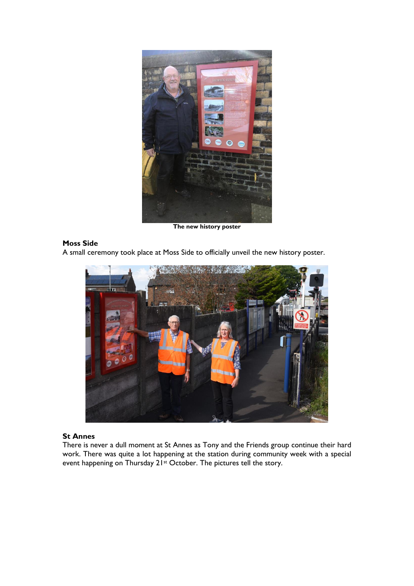

**The new history poster**

### **Moss Side**

A small ceremony took place at Moss Side to officially unveil the new history poster.



#### **St Annes**

There is never a dull moment at St Annes as Tony and the Friends group continue their hard work. There was quite a lot happening at the station during community week with a special event happening on Thursday 21st October. The pictures tell the story.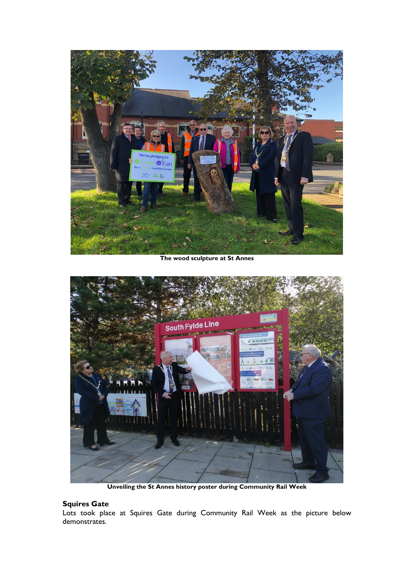

**The wood sculpture at St Annes**



**Unveiling the St Annes history poster during Community Rail Week**

## **Squires Gate**

Lots took place at Squires Gate during Community Rail Week as the picture below demonstrates.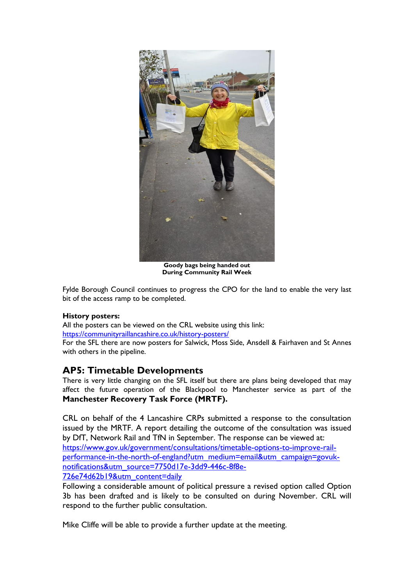

**Goody bags being handed out During Community Rail Week**

Fylde Borough Council continues to progress the CPO for the land to enable the very last bit of the access ramp to be completed.

#### **History posters:**

All the posters can be viewed on the CRL website using this link: <https://communityraillancashire.co.uk/history-posters/>

For the SFL there are now posters for Salwick, Moss Side, Ansdell & Fairhaven and St Annes with others in the pipeline.

# **AP5: Timetable Developments**

There is very little changing on the SFL itself but there are plans being developed that may affect the future operation of the Blackpool to Manchester service as part of the **Manchester Recovery Task Force (MRTF).**

CRL on behalf of the 4 Lancashire CRPs submitted a response to the consultation issued by the MRTF. A report detailing the outcome of the consultation was issued by DfT, Network Rail and TfN in September. The response can be viewed at: [https://www.gov.uk/government/consultations/timetable-options-to-improve-rail](https://www.gov.uk/government/consultations/timetable-options-to-improve-rail-performance-in-the-north-of-england?utm_medium=email&utm_campaign=govuk-notifications&utm_source=7750d17e-3dd9-446c-8f8e-726e74d62b19&utm_content=daily)[performance-in-the-north-of-england?utm\\_medium=email&utm\\_campaign=govuk](https://www.gov.uk/government/consultations/timetable-options-to-improve-rail-performance-in-the-north-of-england?utm_medium=email&utm_campaign=govuk-notifications&utm_source=7750d17e-3dd9-446c-8f8e-726e74d62b19&utm_content=daily)[notifications&utm\\_source=7750d17e-3dd9-446c-8f8e-](https://www.gov.uk/government/consultations/timetable-options-to-improve-rail-performance-in-the-north-of-england?utm_medium=email&utm_campaign=govuk-notifications&utm_source=7750d17e-3dd9-446c-8f8e-726e74d62b19&utm_content=daily)[726e74d62b19&utm\\_content=daily](https://www.gov.uk/government/consultations/timetable-options-to-improve-rail-performance-in-the-north-of-england?utm_medium=email&utm_campaign=govuk-notifications&utm_source=7750d17e-3dd9-446c-8f8e-726e74d62b19&utm_content=daily)

Following a considerable amount of political pressure a revised option called Option 3b has been drafted and is likely to be consulted on during November. CRL will respond to the further public consultation.

Mike Cliffe will be able to provide a further update at the meeting.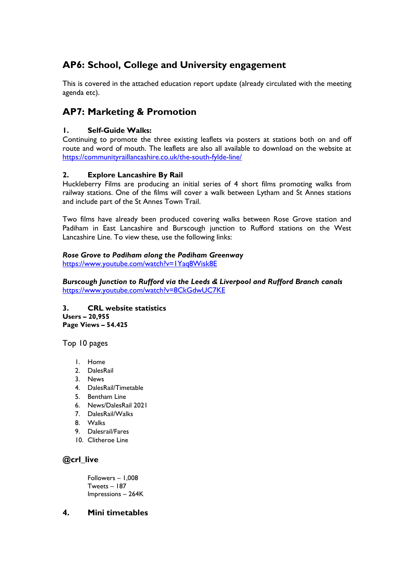# **AP6: School, College and University engagement**

This is covered in the attached education report update (already circulated with the meeting agenda etc).

# **AP7: Marketing & Promotion**

### **1. Self-Guide Walks:**

Continuing to promote the three existing leaflets via posters at stations both on and off route and word of mouth. The leaflets are also all available to download on the website at <https://communityraillancashire.co.uk/the-south-fylde-line/>

#### **2. Explore Lancashire By Rail**

Huckleberry Films are producing an initial series of 4 short films promoting walks from railway stations. One of the films will cover a walk between Lytham and St Annes stations and include part of the St Annes Town Trail.

Two films have already been produced covering walks between Rose Grove station and Padiham in East Lancashire and Burscough junction to Rufford stations on the West Lancashire Line. To view these, use the following links:

### *Rose Grove to Padiham along the Padiham Greenway*

<https://www.youtube.com/watch?v=1Yaq8Wisk8E>

*Burscough Junction to Rufford via the Leeds & Liverpool and Rufford Branch canals* <https://www.youtube.com/watch?v=8CkGdwUC7KE>

**3. CRL website statistics Users – 20,955 Page Views – 54.425**

Top 10 pages

- 1. Home
- 2. DalesRail
- 3. News
- 4. DalesRail/Timetable
- 5. Bentham Line
- 6. News/DalesRail 2021
- 7. DalesRail/Walks
- 8. Walks
- 9. Dalesrail/Fares
- 10. Clitheroe Line

## **@crl\_live**

Followers – 1,008 Tweets – 187 Impressions – 264K

#### **4. Mini timetables**